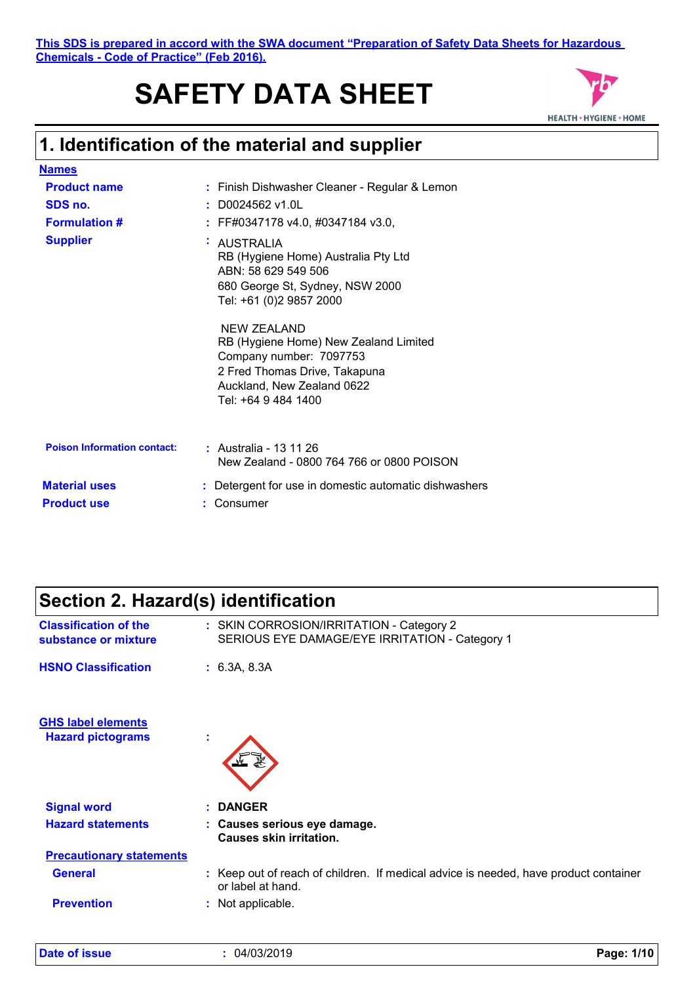**This SDS is prepared in accord with the SWA document "Preparation of Safety Data Sheets for Hazardous Chemicals - Code of Practice" (Feb 2016).**

# **SAFETY DATA SHEET**



### **1. Identification of the material and supplier**

| <b>Names</b>                               |              |                                                                                                                                                                                                                                                                                                                       |
|--------------------------------------------|--------------|-----------------------------------------------------------------------------------------------------------------------------------------------------------------------------------------------------------------------------------------------------------------------------------------------------------------------|
| <b>Product name</b>                        |              | : Finish Dishwasher Cleaner - Regular & Lemon                                                                                                                                                                                                                                                                         |
| SDS no.                                    |              | : D0024562 v1.0L                                                                                                                                                                                                                                                                                                      |
| <b>Formulation #</b>                       |              | : FF#0347178 v4.0, #0347184 v3.0,                                                                                                                                                                                                                                                                                     |
| <b>Supplier</b>                            | $\mathbf{r}$ | <b>AUSTRALIA</b><br>RB (Hygiene Home) Australia Pty Ltd<br>ABN: 58 629 549 506<br>680 George St, Sydney, NSW 2000<br>Tel: +61 (0)2 9857 2000<br>NEW ZEALAND<br>RB (Hygiene Home) New Zealand Limited<br>Company number: 7097753<br>2 Fred Thomas Drive, Takapuna<br>Auckland, New Zealand 0622<br>Tel: +64 9 484 1400 |
| <b>Poison Information contact:</b>         |              | : Australia - 13 11 26<br>New Zealand - 0800 764 766 or 0800 POISON                                                                                                                                                                                                                                                   |
| <b>Material uses</b><br><b>Product use</b> |              | : Detergent for use in domestic automatic dishwashers<br>Consumer                                                                                                                                                                                                                                                     |

## **Section 2. Hazard(s) identification**

| <b>Classification of the</b><br>substance or mixture  | : SKIN CORROSION/IRRITATION - Category 2<br>SERIOUS EYE DAMAGE/EYE IRRITATION - Category 1                |
|-------------------------------------------------------|-----------------------------------------------------------------------------------------------------------|
| <b>HSNO Classification</b>                            | : 6.3A, 8.3A                                                                                              |
| <b>GHS label elements</b><br><b>Hazard pictograms</b> | ÷                                                                                                         |
| <b>Signal word</b>                                    | : DANGER                                                                                                  |
| <b>Hazard statements</b>                              | : Causes serious eye damage.<br><b>Causes skin irritation.</b>                                            |
| <b>Precautionary statements</b>                       |                                                                                                           |
| <b>General</b>                                        | : Keep out of reach of children. If medical advice is needed, have product container<br>or label at hand. |
| <b>Prevention</b>                                     | : Not applicable.                                                                                         |
|                                                       |                                                                                                           |

| <b>Date of issue</b> |  |
|----------------------|--|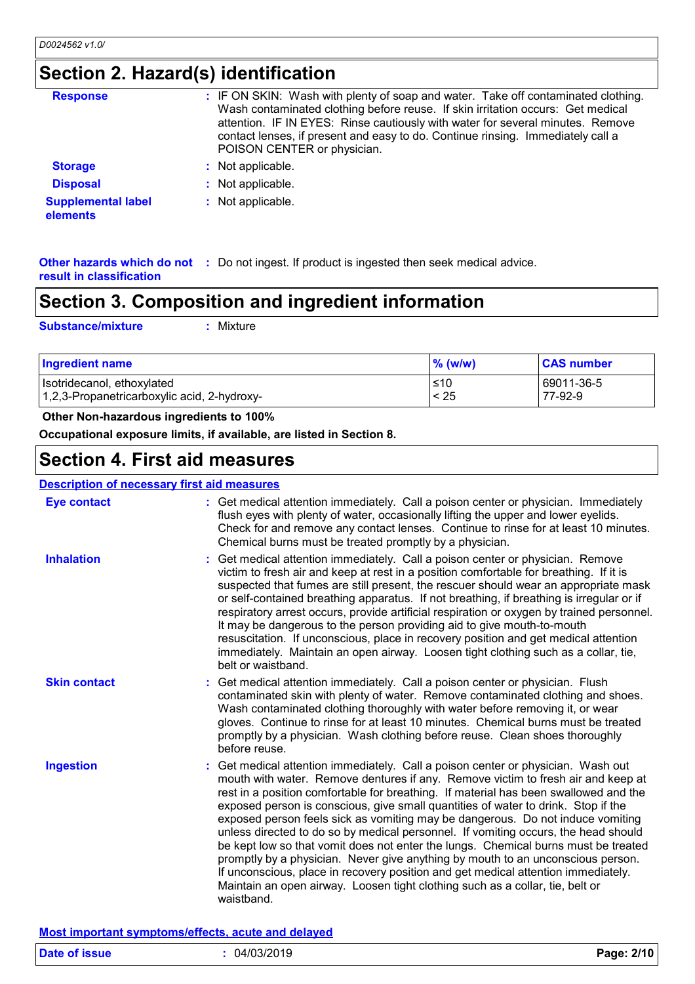## **Section 2. Hazard(s) identification**

| <b>Response</b>                       | : IF ON SKIN: Wash with plenty of soap and water. Take off contaminated clothing.<br>Wash contaminated clothing before reuse. If skin irritation occurs: Get medical<br>attention. IF IN EYES: Rinse cautiously with water for several minutes. Remove<br>contact lenses, if present and easy to do. Continue rinsing. Immediately call a<br>POISON CENTER or physician. |
|---------------------------------------|--------------------------------------------------------------------------------------------------------------------------------------------------------------------------------------------------------------------------------------------------------------------------------------------------------------------------------------------------------------------------|
| <b>Storage</b>                        | Not applicable.                                                                                                                                                                                                                                                                                                                                                          |
| <b>Disposal</b>                       | Not applicable.                                                                                                                                                                                                                                                                                                                                                          |
| <b>Supplemental label</b><br>elements | Not applicable.                                                                                                                                                                                                                                                                                                                                                          |

**Other hazards which do not :** Do not ingest. If product is ingested then seek medical advice. **result in classification**

### **Section 3. Composition and ingredient information**

**Substance/mixture :**

Mixture

| <b>Ingredient name</b>                      | $%$ (w/w) | <b>CAS number</b> |
|---------------------------------------------|-----------|-------------------|
| Isotridecanol, ethoxylated                  | ≤10       | 69011-36-5        |
| 1,2,3-Propanetricarboxylic acid, 2-hydroxy- | < 25      | 77-92-9           |

#### **Other Non-hazardous ingredients to 100%**

**Occupational exposure limits, if available, are listed in Section 8.**

### **Section 4. First aid measures**

### **Description of necessary first aid measures**

| <b>Eye contact</b>  | : Get medical attention immediately. Call a poison center or physician. Immediately<br>flush eyes with plenty of water, occasionally lifting the upper and lower eyelids.<br>Check for and remove any contact lenses. Continue to rinse for at least 10 minutes.<br>Chemical burns must be treated promptly by a physician.                                                                                                                                                                                                                                                                                                                                                                                                                                                                                                                                                          |
|---------------------|--------------------------------------------------------------------------------------------------------------------------------------------------------------------------------------------------------------------------------------------------------------------------------------------------------------------------------------------------------------------------------------------------------------------------------------------------------------------------------------------------------------------------------------------------------------------------------------------------------------------------------------------------------------------------------------------------------------------------------------------------------------------------------------------------------------------------------------------------------------------------------------|
| <b>Inhalation</b>   | Get medical attention immediately. Call a poison center or physician. Remove<br>victim to fresh air and keep at rest in a position comfortable for breathing. If it is<br>suspected that fumes are still present, the rescuer should wear an appropriate mask<br>or self-contained breathing apparatus. If not breathing, if breathing is irregular or if<br>respiratory arrest occurs, provide artificial respiration or oxygen by trained personnel.<br>It may be dangerous to the person providing aid to give mouth-to-mouth<br>resuscitation. If unconscious, place in recovery position and get medical attention<br>immediately. Maintain an open airway. Loosen tight clothing such as a collar, tie,<br>belt or waistband.                                                                                                                                                  |
| <b>Skin contact</b> | Get medical attention immediately. Call a poison center or physician. Flush<br>contaminated skin with plenty of water. Remove contaminated clothing and shoes.<br>Wash contaminated clothing thoroughly with water before removing it, or wear<br>gloves. Continue to rinse for at least 10 minutes. Chemical burns must be treated<br>promptly by a physician. Wash clothing before reuse. Clean shoes thoroughly<br>before reuse.                                                                                                                                                                                                                                                                                                                                                                                                                                                  |
| <b>Ingestion</b>    | Get medical attention immediately. Call a poison center or physician. Wash out<br>mouth with water. Remove dentures if any. Remove victim to fresh air and keep at<br>rest in a position comfortable for breathing. If material has been swallowed and the<br>exposed person is conscious, give small quantities of water to drink. Stop if the<br>exposed person feels sick as vomiting may be dangerous. Do not induce vomiting<br>unless directed to do so by medical personnel. If vomiting occurs, the head should<br>be kept low so that vomit does not enter the lungs. Chemical burns must be treated<br>promptly by a physician. Never give anything by mouth to an unconscious person.<br>If unconscious, place in recovery position and get medical attention immediately.<br>Maintain an open airway. Loosen tight clothing such as a collar, tie, belt or<br>waistband. |

**Most important symptoms/effects, acute and delayed**

| <b>Date of issue</b> | 04/03/2019 | Page: 2/10 |
|----------------------|------------|------------|
|                      |            |            |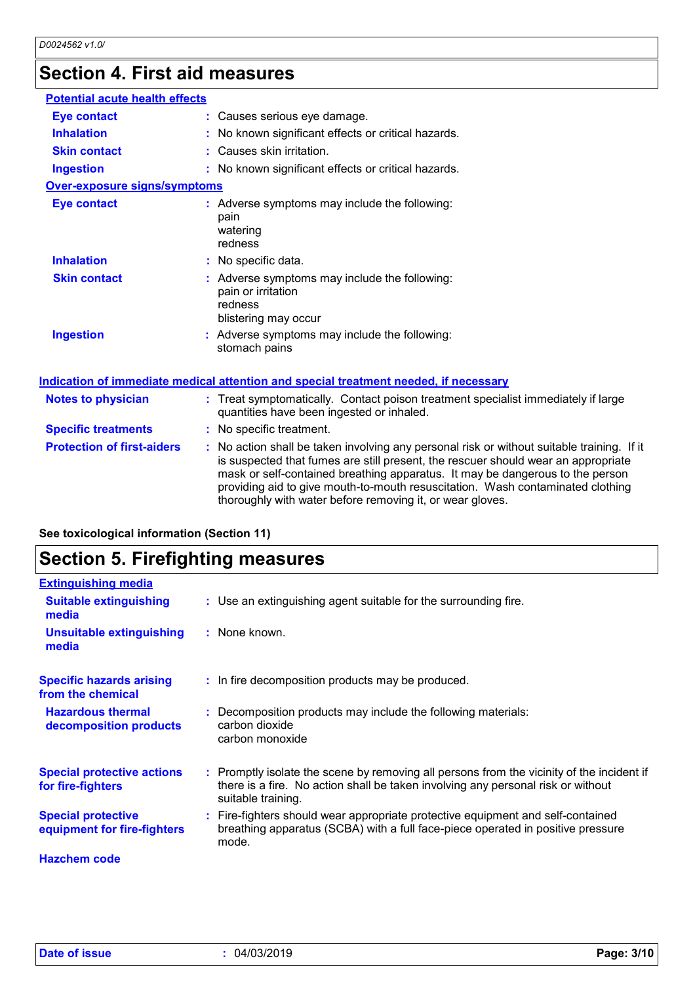## **Section 4. First aid measures**

| <b>Potential acute health effects</b>                                                |                                                                                                                                                                                                                                                                                                                                                                                                                 |  |
|--------------------------------------------------------------------------------------|-----------------------------------------------------------------------------------------------------------------------------------------------------------------------------------------------------------------------------------------------------------------------------------------------------------------------------------------------------------------------------------------------------------------|--|
| <b>Eye contact</b>                                                                   | : Causes serious eye damage.                                                                                                                                                                                                                                                                                                                                                                                    |  |
| <b>Inhalation</b>                                                                    | No known significant effects or critical hazards.                                                                                                                                                                                                                                                                                                                                                               |  |
| <b>Skin contact</b>                                                                  | : Causes skin irritation.                                                                                                                                                                                                                                                                                                                                                                                       |  |
| <b>Ingestion</b>                                                                     | : No known significant effects or critical hazards.                                                                                                                                                                                                                                                                                                                                                             |  |
| <b>Over-exposure signs/symptoms</b>                                                  |                                                                                                                                                                                                                                                                                                                                                                                                                 |  |
| <b>Eye contact</b>                                                                   | : Adverse symptoms may include the following:<br>pain<br>watering<br>redness                                                                                                                                                                                                                                                                                                                                    |  |
| <b>Inhalation</b>                                                                    | : No specific data.                                                                                                                                                                                                                                                                                                                                                                                             |  |
| <b>Skin contact</b>                                                                  | : Adverse symptoms may include the following:<br>pain or irritation<br>redness<br>blistering may occur                                                                                                                                                                                                                                                                                                          |  |
| <b>Ingestion</b>                                                                     | : Adverse symptoms may include the following:<br>stomach pains                                                                                                                                                                                                                                                                                                                                                  |  |
| Indication of immediate medical attention and special treatment needed, if necessary |                                                                                                                                                                                                                                                                                                                                                                                                                 |  |
| <b>Notes to physician</b>                                                            | : Treat symptomatically. Contact poison treatment specialist immediately if large<br>quantities have been ingested or inhaled.                                                                                                                                                                                                                                                                                  |  |
| <b>Specific treatments</b>                                                           | : No specific treatment.                                                                                                                                                                                                                                                                                                                                                                                        |  |
| <b>Protection of first-aiders</b>                                                    | : No action shall be taken involving any personal risk or without suitable training. If it<br>is suspected that fumes are still present, the rescuer should wear an appropriate<br>mask or self-contained breathing apparatus. It may be dangerous to the person<br>providing aid to give mouth-to-mouth resuscitation. Wash contaminated clothing<br>thoroughly with water before removing it, or wear gloves. |  |

| See toxicological information (Section 11) |  |  |  |
|--------------------------------------------|--|--|--|
|--------------------------------------------|--|--|--|

## **Section 5. Firefighting measures**

| <b>Extinguishing media</b>                               |                                                                                                                                                                                                     |
|----------------------------------------------------------|-----------------------------------------------------------------------------------------------------------------------------------------------------------------------------------------------------|
| <b>Suitable extinguishing</b><br>media                   | : Use an extinguishing agent suitable for the surrounding fire.                                                                                                                                     |
| Unsuitable extinguishing<br>media                        | : None known.                                                                                                                                                                                       |
| <b>Specific hazards arising</b><br>from the chemical     | : In fire decomposition products may be produced.                                                                                                                                                   |
| <b>Hazardous thermal</b><br>decomposition products       | : Decomposition products may include the following materials:<br>carbon dioxide<br>carbon monoxide                                                                                                  |
| <b>Special protective actions</b><br>for fire-fighters   | : Promptly isolate the scene by removing all persons from the vicinity of the incident if<br>there is a fire. No action shall be taken involving any personal risk or without<br>suitable training. |
| <b>Special protective</b><br>equipment for fire-fighters | : Fire-fighters should wear appropriate protective equipment and self-contained<br>breathing apparatus (SCBA) with a full face-piece operated in positive pressure<br>mode.                         |
| <b>Hazchem code</b>                                      |                                                                                                                                                                                                     |
|                                                          |                                                                                                                                                                                                     |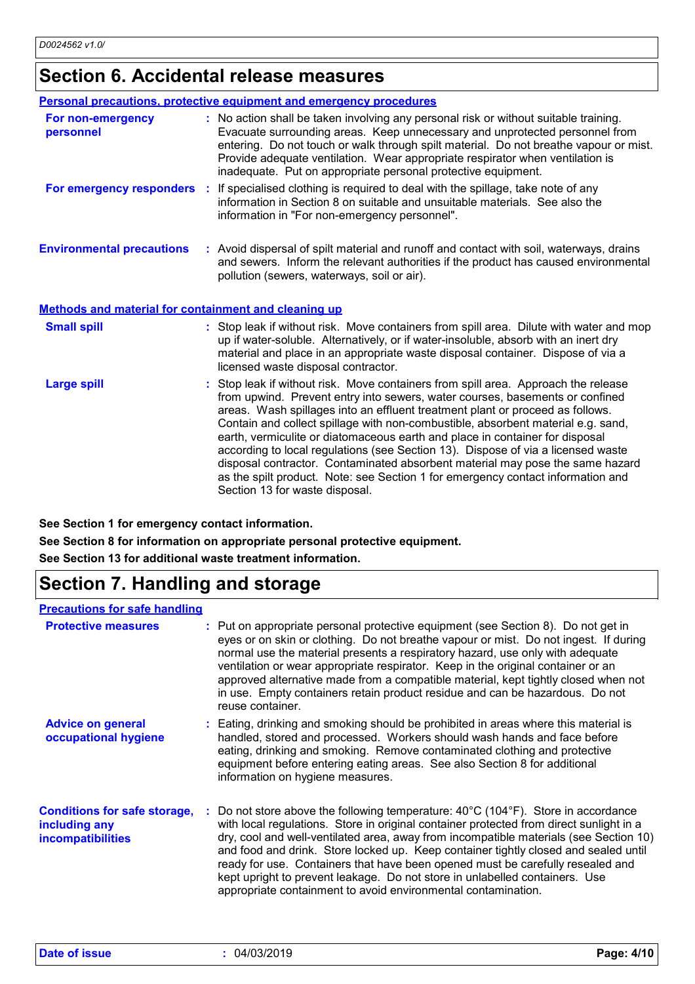## **Section 6. Accidental release measures**

|                                                             | <b>Personal precautions, protective equipment and emergency procedures</b>                                                                                                                                                                                                                                                                                                                                                                                                                                                                                                                                                                                                                                        |
|-------------------------------------------------------------|-------------------------------------------------------------------------------------------------------------------------------------------------------------------------------------------------------------------------------------------------------------------------------------------------------------------------------------------------------------------------------------------------------------------------------------------------------------------------------------------------------------------------------------------------------------------------------------------------------------------------------------------------------------------------------------------------------------------|
| For non-emergency<br>personnel                              | : No action shall be taken involving any personal risk or without suitable training.<br>Evacuate surrounding areas. Keep unnecessary and unprotected personnel from<br>entering. Do not touch or walk through spilt material. Do not breathe vapour or mist.<br>Provide adequate ventilation. Wear appropriate respirator when ventilation is<br>inadequate. Put on appropriate personal protective equipment.                                                                                                                                                                                                                                                                                                    |
|                                                             | For emergency responders : If specialised clothing is required to deal with the spillage, take note of any<br>information in Section 8 on suitable and unsuitable materials. See also the<br>information in "For non-emergency personnel".                                                                                                                                                                                                                                                                                                                                                                                                                                                                        |
| <b>Environmental precautions</b>                            | : Avoid dispersal of spilt material and runoff and contact with soil, waterways, drains<br>and sewers. Inform the relevant authorities if the product has caused environmental<br>pollution (sewers, waterways, soil or air).                                                                                                                                                                                                                                                                                                                                                                                                                                                                                     |
| <b>Methods and material for containment and cleaning up</b> |                                                                                                                                                                                                                                                                                                                                                                                                                                                                                                                                                                                                                                                                                                                   |
| <b>Small spill</b>                                          | : Stop leak if without risk. Move containers from spill area. Dilute with water and mop<br>up if water-soluble. Alternatively, or if water-insoluble, absorb with an inert dry<br>material and place in an appropriate waste disposal container. Dispose of via a<br>licensed waste disposal contractor.                                                                                                                                                                                                                                                                                                                                                                                                          |
| <b>Large spill</b>                                          | : Stop leak if without risk. Move containers from spill area. Approach the release<br>from upwind. Prevent entry into sewers, water courses, basements or confined<br>areas. Wash spillages into an effluent treatment plant or proceed as follows.<br>Contain and collect spillage with non-combustible, absorbent material e.g. sand,<br>earth, vermiculite or diatomaceous earth and place in container for disposal<br>according to local regulations (see Section 13). Dispose of via a licensed waste<br>disposal contractor. Contaminated absorbent material may pose the same hazard<br>as the spilt product. Note: see Section 1 for emergency contact information and<br>Section 13 for waste disposal. |

**See Section 1 for emergency contact information.**

**See Section 8 for information on appropriate personal protective equipment.**

**See Section 13 for additional waste treatment information.**

## **Section 7. Handling and storage**

### **Precautions for safe handling**

| <b>Protective measures</b>                                                       | : Put on appropriate personal protective equipment (see Section 8). Do not get in<br>eyes or on skin or clothing. Do not breathe vapour or mist. Do not ingest. If during<br>normal use the material presents a respiratory hazard, use only with adequate<br>ventilation or wear appropriate respirator. Keep in the original container or an<br>approved alternative made from a compatible material, kept tightly closed when not<br>in use. Empty containers retain product residue and can be hazardous. Do not<br>reuse container.                                                                          |
|----------------------------------------------------------------------------------|-------------------------------------------------------------------------------------------------------------------------------------------------------------------------------------------------------------------------------------------------------------------------------------------------------------------------------------------------------------------------------------------------------------------------------------------------------------------------------------------------------------------------------------------------------------------------------------------------------------------|
| <b>Advice on general</b><br>occupational hygiene                                 | : Eating, drinking and smoking should be prohibited in areas where this material is<br>handled, stored and processed. Workers should wash hands and face before<br>eating, drinking and smoking. Remove contaminated clothing and protective<br>equipment before entering eating areas. See also Section 8 for additional<br>information on hygiene measures.                                                                                                                                                                                                                                                     |
| <b>Conditions for safe storage,</b><br>including any<br><b>incompatibilities</b> | Do not store above the following temperature: $40^{\circ}$ C (104 $^{\circ}$ F). Store in accordance<br>with local regulations. Store in original container protected from direct sunlight in a<br>dry, cool and well-ventilated area, away from incompatible materials (see Section 10)<br>and food and drink. Store locked up. Keep container tightly closed and sealed until<br>ready for use. Containers that have been opened must be carefully resealed and<br>kept upright to prevent leakage. Do not store in unlabelled containers. Use<br>appropriate containment to avoid environmental contamination. |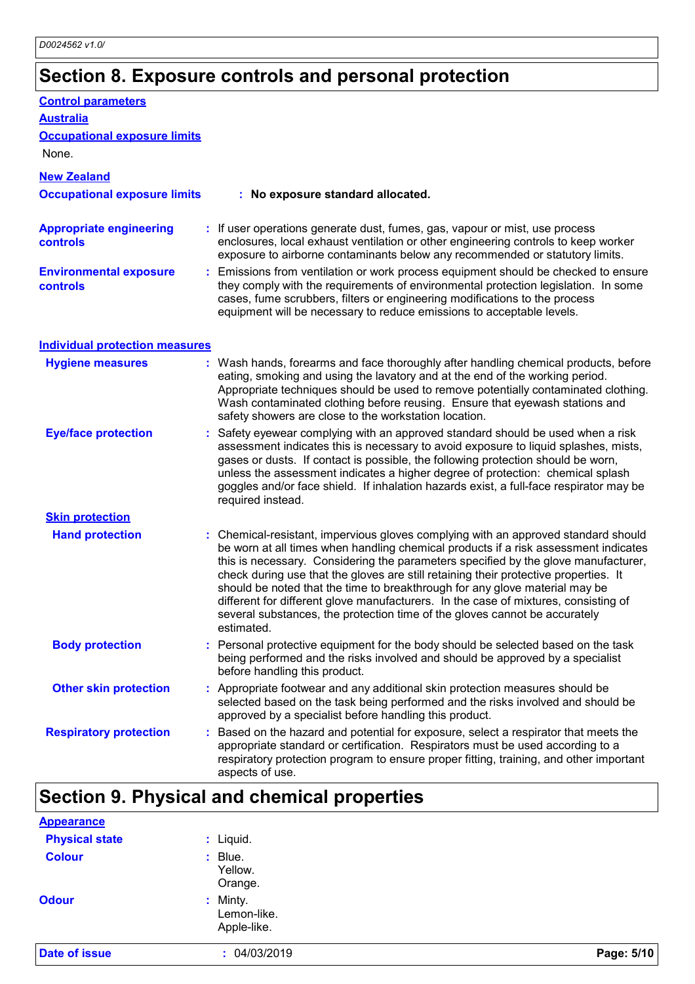## **Section 8. Exposure controls and personal protection**

| <b>Control parameters</b>                        |                                                                                                                                                                                                                                                                                                                                                                                                                                                                                                                                                                                                                           |
|--------------------------------------------------|---------------------------------------------------------------------------------------------------------------------------------------------------------------------------------------------------------------------------------------------------------------------------------------------------------------------------------------------------------------------------------------------------------------------------------------------------------------------------------------------------------------------------------------------------------------------------------------------------------------------------|
| <b>Australia</b>                                 |                                                                                                                                                                                                                                                                                                                                                                                                                                                                                                                                                                                                                           |
| <b>Occupational exposure limits</b>              |                                                                                                                                                                                                                                                                                                                                                                                                                                                                                                                                                                                                                           |
| None.                                            |                                                                                                                                                                                                                                                                                                                                                                                                                                                                                                                                                                                                                           |
| <b>New Zealand</b>                               |                                                                                                                                                                                                                                                                                                                                                                                                                                                                                                                                                                                                                           |
| <b>Occupational exposure limits</b>              | : No exposure standard allocated.                                                                                                                                                                                                                                                                                                                                                                                                                                                                                                                                                                                         |
| <b>Appropriate engineering</b><br>controls       | : If user operations generate dust, fumes, gas, vapour or mist, use process<br>enclosures, local exhaust ventilation or other engineering controls to keep worker<br>exposure to airborne contaminants below any recommended or statutory limits.                                                                                                                                                                                                                                                                                                                                                                         |
| <b>Environmental exposure</b><br><b>controls</b> | : Emissions from ventilation or work process equipment should be checked to ensure<br>they comply with the requirements of environmental protection legislation. In some<br>cases, fume scrubbers, filters or engineering modifications to the process<br>equipment will be necessary to reduce emissions to acceptable levels.                                                                                                                                                                                                                                                                                           |
| <b>Individual protection measures</b>            |                                                                                                                                                                                                                                                                                                                                                                                                                                                                                                                                                                                                                           |
| <b>Hygiene measures</b>                          | : Wash hands, forearms and face thoroughly after handling chemical products, before<br>eating, smoking and using the lavatory and at the end of the working period.<br>Appropriate techniques should be used to remove potentially contaminated clothing.<br>Wash contaminated clothing before reusing. Ensure that eyewash stations and<br>safety showers are close to the workstation location.                                                                                                                                                                                                                         |
| <b>Eye/face protection</b>                       | : Safety eyewear complying with an approved standard should be used when a risk<br>assessment indicates this is necessary to avoid exposure to liquid splashes, mists,<br>gases or dusts. If contact is possible, the following protection should be worn,<br>unless the assessment indicates a higher degree of protection: chemical splash<br>goggles and/or face shield. If inhalation hazards exist, a full-face respirator may be<br>required instead.                                                                                                                                                               |
| <b>Skin protection</b>                           |                                                                                                                                                                                                                                                                                                                                                                                                                                                                                                                                                                                                                           |
| <b>Hand protection</b>                           | : Chemical-resistant, impervious gloves complying with an approved standard should<br>be worn at all times when handling chemical products if a risk assessment indicates<br>this is necessary. Considering the parameters specified by the glove manufacturer,<br>check during use that the gloves are still retaining their protective properties. It<br>should be noted that the time to breakthrough for any glove material may be<br>different for different glove manufacturers. In the case of mixtures, consisting of<br>several substances, the protection time of the gloves cannot be accurately<br>estimated. |
| <b>Body protection</b>                           | Personal protective equipment for the body should be selected based on the task<br>being performed and the risks involved and should be approved by a specialist<br>before handling this product.                                                                                                                                                                                                                                                                                                                                                                                                                         |
| <b>Other skin protection</b>                     | : Appropriate footwear and any additional skin protection measures should be<br>selected based on the task being performed and the risks involved and should be<br>approved by a specialist before handling this product.                                                                                                                                                                                                                                                                                                                                                                                                 |
| <b>Respiratory protection</b>                    | Based on the hazard and potential for exposure, select a respirator that meets the<br>appropriate standard or certification. Respirators must be used according to a<br>respiratory protection program to ensure proper fitting, training, and other important<br>aspects of use.                                                                                                                                                                                                                                                                                                                                         |

## **Section 9. Physical and chemical properties**

| <b>Date of issue</b>  | : 04/03/2019                           | Page: 5/10 |
|-----------------------|----------------------------------------|------------|
| <b>Odour</b>          | : Minty.<br>Lemon-like.<br>Apple-like. |            |
| <b>Colour</b>         | $:$ Blue.<br>Yellow.<br>Orange.        |            |
| <b>Physical state</b> | : Liquid.                              |            |
| <b>Appearance</b>     |                                        |            |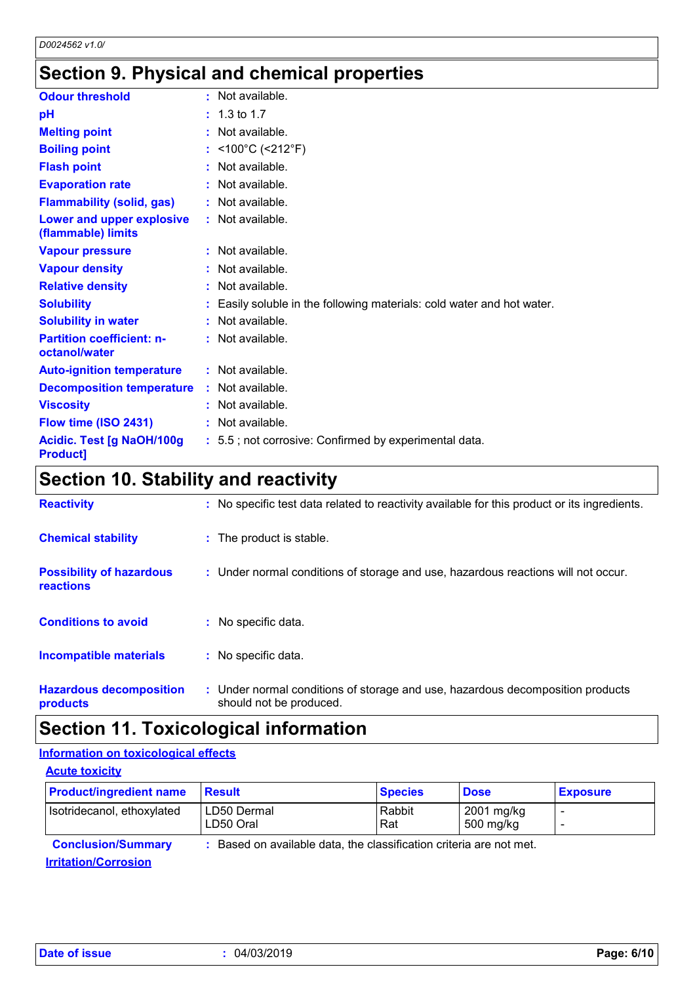## **Section 9. Physical and chemical properties**

| <b>Odour threshold</b>                              | $\cdot$ Not available.                                                 |
|-----------------------------------------------------|------------------------------------------------------------------------|
| рH                                                  | $: 1.3 \text{ to } 1.7$                                                |
| <b>Melting point</b>                                | Not available.                                                         |
| <b>Boiling point</b>                                | : <100°C (<212°F)                                                      |
| <b>Flash point</b>                                  | : Not available.                                                       |
| <b>Evaporation rate</b>                             | $:$ Not available.                                                     |
| <b>Flammability (solid, gas)</b>                    | : Not available.                                                       |
| Lower and upper explosive<br>(flammable) limits     | : Not available.                                                       |
| <b>Vapour pressure</b>                              | $:$ Not available.                                                     |
| <b>Vapour density</b>                               | $:$ Not available.                                                     |
| <b>Relative density</b>                             | $:$ Not available.                                                     |
| <b>Solubility</b>                                   | : Easily soluble in the following materials: cold water and hot water. |
| <b>Solubility in water</b>                          | $:$ Not available.                                                     |
| <b>Partition coefficient: n-</b><br>octanol/water   | : Not available.                                                       |
| <b>Auto-ignition temperature</b>                    | : Not available.                                                       |
| <b>Decomposition temperature</b>                    | $:$ Not available.                                                     |
| <b>Viscosity</b>                                    | $:$ Not available.                                                     |
| Flow time (ISO 2431)                                | : Not available.                                                       |
| <b>Acidic. Test [g NaOH/100g</b><br><b>Product]</b> | : 5.5; not corrosive: Confirmed by experimental data.                  |

## **Section 10. Stability and reactivity**

| <b>Reactivity</b>                            | : No specific test data related to reactivity available for this product or its ingredients.              |
|----------------------------------------------|-----------------------------------------------------------------------------------------------------------|
| <b>Chemical stability</b>                    | : The product is stable.                                                                                  |
| <b>Possibility of hazardous</b><br>reactions | : Under normal conditions of storage and use, hazardous reactions will not occur.                         |
| <b>Conditions to avoid</b>                   | : No specific data.                                                                                       |
| <b>Incompatible materials</b>                | : No specific data.                                                                                       |
| <b>Hazardous decomposition</b><br>products   | : Under normal conditions of storage and use, hazardous decomposition products<br>should not be produced. |

## **Section 11. Toxicological information**

### **Information on toxicological effects**

| <b>Acute toxicity</b>          |                                                                     |                |                         |                 |  |
|--------------------------------|---------------------------------------------------------------------|----------------|-------------------------|-----------------|--|
| <b>Product/ingredient name</b> | <b>Result</b>                                                       | <b>Species</b> | <b>Dose</b>             | <b>Exposure</b> |  |
| Isotridecanol, ethoxylated     | LD50 Dermal<br>LD50 Oral                                            | Rabbit<br>Rat  | 2001 mg/kg<br>500 mg/kg |                 |  |
| <b>Conclusion/Summary</b>      | : Based on available data, the classification criteria are not met. |                |                         |                 |  |
| <b>Irritation/Corrosion</b>    |                                                                     |                |                         |                 |  |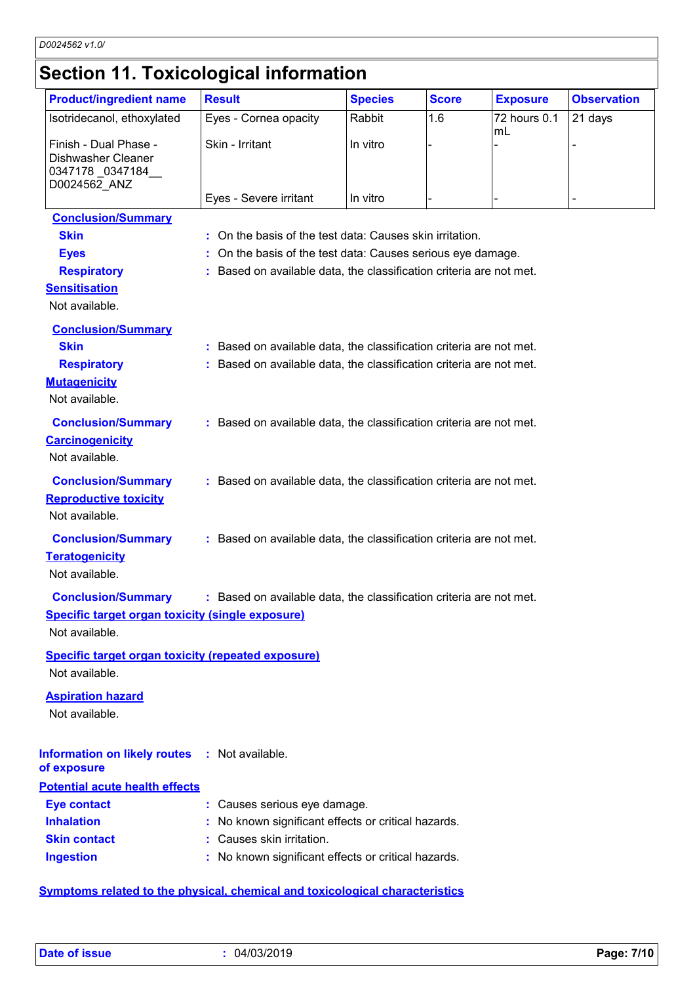## **Section 11. Toxicological information**

| <b>Product/ingredient name</b>                                  | <b>Result</b>                                                       | <b>Species</b> | <b>Score</b> | <b>Exposure</b>    | <b>Observation</b> |
|-----------------------------------------------------------------|---------------------------------------------------------------------|----------------|--------------|--------------------|--------------------|
| Isotridecanol, ethoxylated                                      | Eyes - Cornea opacity                                               | Rabbit         | 1.6          | 72 hours 0.1<br>mL | 21 days            |
| Finish - Dual Phase -<br>Dishwasher Cleaner<br>0347178_0347184_ | Skin - Irritant                                                     | In vitro       |              |                    |                    |
| D0024562_ANZ                                                    |                                                                     |                |              |                    |                    |
|                                                                 | Eyes - Severe irritant                                              | In vitro       |              |                    |                    |
| <b>Conclusion/Summary</b>                                       |                                                                     |                |              |                    |                    |
| <b>Skin</b>                                                     | : On the basis of the test data: Causes skin irritation.            |                |              |                    |                    |
| <b>Eyes</b>                                                     | : On the basis of the test data: Causes serious eye damage.         |                |              |                    |                    |
| <b>Respiratory</b>                                              | : Based on available data, the classification criteria are not met. |                |              |                    |                    |
| <b>Sensitisation</b>                                            |                                                                     |                |              |                    |                    |
| Not available.                                                  |                                                                     |                |              |                    |                    |
| <b>Conclusion/Summary</b>                                       |                                                                     |                |              |                    |                    |
| <b>Skin</b>                                                     | : Based on available data, the classification criteria are not met. |                |              |                    |                    |
| <b>Respiratory</b>                                              | : Based on available data, the classification criteria are not met. |                |              |                    |                    |
| <b>Mutagenicity</b>                                             |                                                                     |                |              |                    |                    |
| Not available.                                                  |                                                                     |                |              |                    |                    |
| <b>Conclusion/Summary</b>                                       | : Based on available data, the classification criteria are not met. |                |              |                    |                    |
| <b>Carcinogenicity</b>                                          |                                                                     |                |              |                    |                    |
| Not available.                                                  |                                                                     |                |              |                    |                    |
|                                                                 |                                                                     |                |              |                    |                    |
| <b>Conclusion/Summary</b>                                       | : Based on available data, the classification criteria are not met. |                |              |                    |                    |
| <b>Reproductive toxicity</b>                                    |                                                                     |                |              |                    |                    |
| Not available.                                                  |                                                                     |                |              |                    |                    |
| <b>Conclusion/Summary</b>                                       | : Based on available data, the classification criteria are not met. |                |              |                    |                    |
| <b>Teratogenicity</b>                                           |                                                                     |                |              |                    |                    |
| Not available.                                                  |                                                                     |                |              |                    |                    |
| <b>Conclusion/Summary</b>                                       | : Based on available data, the classification criteria are not met. |                |              |                    |                    |
| <b>Specific target organ toxicity (single exposure)</b>         |                                                                     |                |              |                    |                    |
| Not available.                                                  |                                                                     |                |              |                    |                    |
| <b>Specific target organ toxicity (repeated exposure)</b>       |                                                                     |                |              |                    |                    |
| Not available.                                                  |                                                                     |                |              |                    |                    |
|                                                                 |                                                                     |                |              |                    |                    |
| <b>Aspiration hazard</b><br>Not available.                      |                                                                     |                |              |                    |                    |
|                                                                 |                                                                     |                |              |                    |                    |
|                                                                 |                                                                     |                |              |                    |                    |
| Information on likely routes : Not available.<br>of exposure    |                                                                     |                |              |                    |                    |
| <b>Potential acute health effects</b>                           |                                                                     |                |              |                    |                    |
| <b>Eye contact</b>                                              | : Causes serious eye damage.                                        |                |              |                    |                    |
| <b>Inhalation</b>                                               | : No known significant effects or critical hazards.                 |                |              |                    |                    |
| <b>Skin contact</b>                                             | : Causes skin irritation.                                           |                |              |                    |                    |
| <b>Ingestion</b>                                                | : No known significant effects or critical hazards.                 |                |              |                    |                    |
|                                                                 |                                                                     |                |              |                    |                    |

**Symptoms related to the physical, chemical and toxicological characteristics**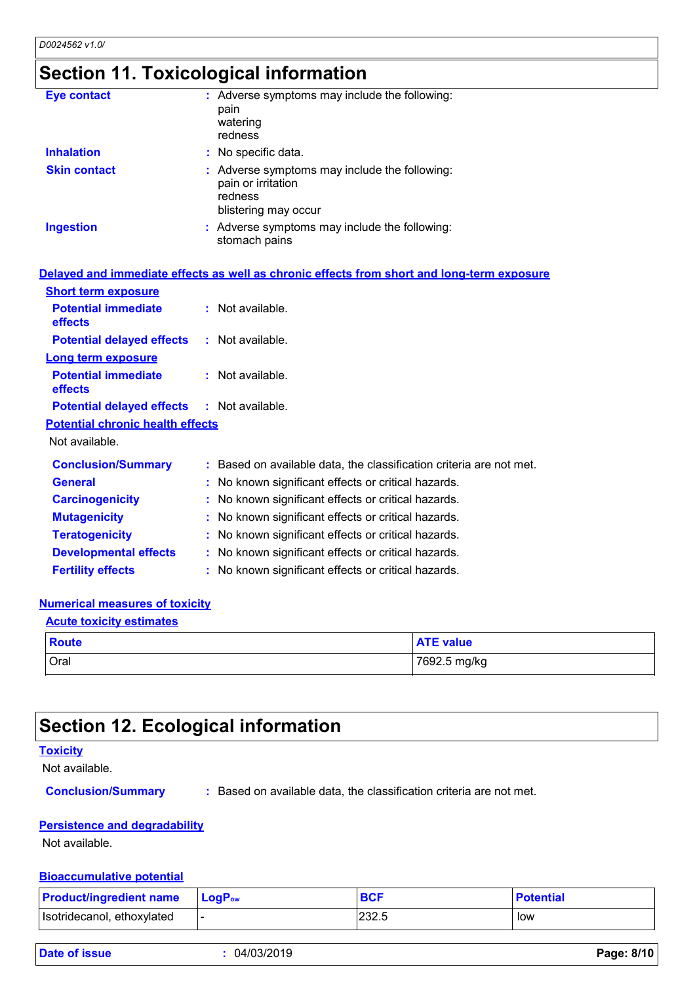## **Section 11. Toxicological information**

| <b>Eye contact</b>  | : Adverse symptoms may include the following:<br>pain<br>watering<br>redness                           |
|---------------------|--------------------------------------------------------------------------------------------------------|
| <b>Inhalation</b>   | : No specific data.                                                                                    |
| <b>Skin contact</b> | : Adverse symptoms may include the following:<br>pain or irritation<br>redness<br>blistering may occur |
| <b>Ingestion</b>    | : Adverse symptoms may include the following:<br>stomach pains                                         |

|                                                   | Delayed and immediate effects as well as chronic effects from short and long-term exposure |
|---------------------------------------------------|--------------------------------------------------------------------------------------------|
| <b>Short term exposure</b>                        |                                                                                            |
| <b>Potential immediate</b><br>effects             | $:$ Not available.                                                                         |
| <b>Potential delayed effects</b>                  | : Not available.                                                                           |
| <b>Long term exposure</b>                         |                                                                                            |
| <b>Potential immediate</b><br>effects             | $:$ Not available.                                                                         |
| <b>Potential delayed effects : Not available.</b> |                                                                                            |
| <b>Potential chronic health effects</b>           |                                                                                            |
| Not available.                                    |                                                                                            |
| <b>Conclusion/Summary</b>                         | : Based on available data, the classification criteria are not met.                        |
| <b>General</b>                                    | : No known significant effects or critical hazards.                                        |
| <b>Carcinogenicity</b>                            | : No known significant effects or critical hazards.                                        |
| <b>Mutagenicity</b>                               | : No known significant effects or critical hazards.                                        |
| <b>Teratogenicity</b>                             | : No known significant effects or critical hazards.                                        |
| <b>Developmental effects</b>                      | : No known significant effects or critical hazards.                                        |
| <b>Fertility effects</b>                          | : No known significant effects or critical hazards.                                        |

#### **Numerical measures of toxicity**

| <b>Acute toxicity estimates</b> |                  |  |  |  |
|---------------------------------|------------------|--|--|--|
| <b>Route</b>                    | <b>ATE value</b> |  |  |  |
| Oral                            | 7692.5 mg/kg     |  |  |  |

### **Section 12. Ecological information**

#### **Toxicity**

Not available.

**Conclusion/Summary :** Based on available data, the classification criteria are not met.

#### **Persistence and degradability**

Not available.

#### **Bioaccumulative potential**

| <b>Product/ingredient name</b> | $LoaPow$ | <b>BCF</b> | <b>Potential</b> |
|--------------------------------|----------|------------|------------------|
| Isotridecanol, ethoxylated     |          | 232.5      | low              |

| Date of issue |
|---------------|
|---------------|

**Date of issue :** 04/03/2019 **Page: 8/10**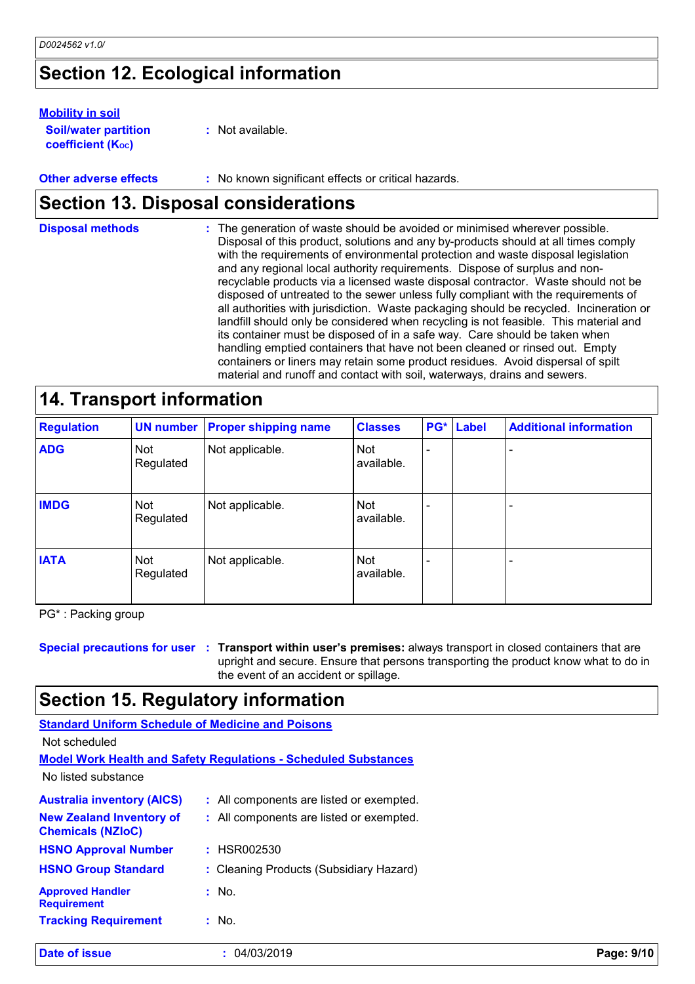## **Section 12. Ecological information**

#### **Mobility in soil**

| <b>Soil/water partition</b> | : Not available. |
|-----------------------------|------------------|
| <b>coefficient (Koc)</b>    |                  |

**Other adverse effects** : No known significant effects or critical hazards.

## **Section 13. Disposal considerations**

| <b>Disposal methods</b> | : The generation of waste should be avoided or minimised wherever possible.<br>Disposal of this product, solutions and any by-products should at all times comply<br>with the requirements of environmental protection and waste disposal legislation<br>and any regional local authority requirements. Dispose of surplus and non-<br>recyclable products via a licensed waste disposal contractor. Waste should not be<br>disposed of untreated to the sewer unless fully compliant with the requirements of<br>all authorities with jurisdiction. Waste packaging should be recycled. Incineration or<br>landfill should only be considered when recycling is not feasible. This material and<br>its container must be disposed of in a safe way. Care should be taken when<br>handling emptied containers that have not been cleaned or rinsed out. Empty<br>containers or liners may retain some product residues. Avoid dispersal of spilt |
|-------------------------|--------------------------------------------------------------------------------------------------------------------------------------------------------------------------------------------------------------------------------------------------------------------------------------------------------------------------------------------------------------------------------------------------------------------------------------------------------------------------------------------------------------------------------------------------------------------------------------------------------------------------------------------------------------------------------------------------------------------------------------------------------------------------------------------------------------------------------------------------------------------------------------------------------------------------------------------------|
|                         | material and runoff and contact with soil, waterways, drains and sewers.                                                                                                                                                                                                                                                                                                                                                                                                                                                                                                                                                                                                                                                                                                                                                                                                                                                                         |

| <b>Regulation</b> | <b>UN number</b>        | <b>Proper shipping name</b> | <b>Classes</b>           | PG* | <b>Label</b> | <b>Additional information</b> |
|-------------------|-------------------------|-----------------------------|--------------------------|-----|--------------|-------------------------------|
| <b>ADG</b>        | <b>Not</b><br>Regulated | Not applicable.             | <b>Not</b><br>available. |     |              |                               |
| <b>IMDG</b>       | Not<br>Regulated        | Not applicable.             | <b>Not</b><br>available. |     |              |                               |
| <b>IATA</b>       | <b>Not</b><br>Regulated | Not applicable.             | <b>Not</b><br>available. |     |              |                               |

PG\* : Packing group

**Special precautions for user Transport within user's premises:** always transport in closed containers that are **:** upright and secure. Ensure that persons transporting the product know what to do in the event of an accident or spillage.

### **Section 15. Regulatory information**

| <b>Standard Uniform Schedule of Medicine and Poisons</b>    |                                                                        |            |
|-------------------------------------------------------------|------------------------------------------------------------------------|------------|
| Not scheduled                                               |                                                                        |            |
|                                                             | <b>Model Work Health and Safety Requiations - Scheduled Substances</b> |            |
| No listed substance                                         |                                                                        |            |
| <b>Australia inventory (AICS)</b>                           | : All components are listed or exempted.                               |            |
| <b>New Zealand Inventory of</b><br><b>Chemicals (NZIoC)</b> | : All components are listed or exempted.                               |            |
| <b>HSNO Approval Number</b>                                 | : HSR002530                                                            |            |
| <b>HSNO Group Standard</b>                                  | : Cleaning Products (Subsidiary Hazard)                                |            |
| <b>Approved Handler</b><br><b>Requirement</b>               | $:$ No.                                                                |            |
| <b>Tracking Requirement</b>                                 | : No.                                                                  |            |
| Date of issue                                               | 04/03/2019                                                             | Page: 9/10 |